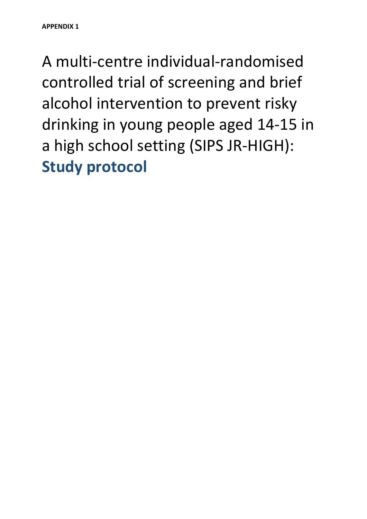A multi-centre individual-randomised controlled trial of screening and brief alcohol intervention to prevent risky drinking in young people aged 14-15 in a high school setting (SIPS JR-HIGH): **Study protocol**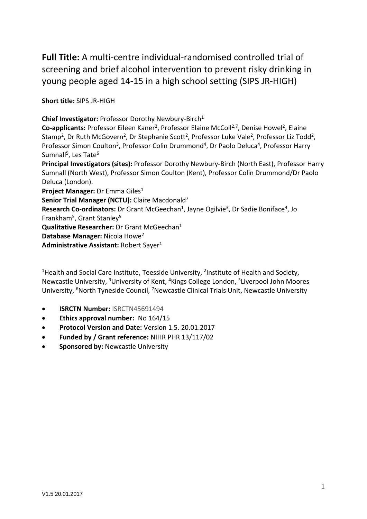**Full Title:** A multi-centre individual-randomised controlled trial of screening and brief alcohol intervention to prevent risky drinking in young people aged 14-15 in a high school setting (SIPS JR-HIGH)

**Short title:** SIPS JR-HIGH

**Chief Investigator:** Professor Dorothy Newbury-Birch1

Co-applicants: Professor Eileen Kaner<sup>2</sup>, Professor Elaine McColl<sup>2,7</sup>, Denise Howel<sup>2</sup>, Elaine Stamp<sup>2</sup>, Dr Ruth McGovern<sup>2</sup>, Dr Stephanie Scott<sup>2</sup>, Professor Luke Vale<sup>2</sup>, Professor Liz Todd<sup>2</sup>, Professor Simon Coulton<sup>3</sup>, Professor Colin Drummond<sup>4</sup>, Dr Paolo Deluca<sup>4</sup>, Professor Harry Sumnall<sup>5</sup>, Les Tate<sup>6</sup>

**Principal Investigators (sites):** Professor Dorothy Newbury-Birch (North East), Professor Harry Sumnall (North West), Professor Simon Coulton (Kent), Professor Colin Drummond/Dr Paolo Deluca (London).

**Project Manager:** Dr Emma Giles1

**Senior Trial Manager (NCTU):** Claire Macdonald7

Research Co-ordinators: Dr Grant McGeechan<sup>1</sup>, Jayne Ogilvie<sup>3</sup>, Dr Sadie Boniface<sup>4</sup>, Jo Frankham<sup>5</sup>, Grant Stanley<sup>5</sup>

**Qualitative Researcher:** Dr Grant McGeechan1

**Database Manager:** Nicola Howe2

Administrative Assistant: Robert Sayer<sup>1</sup>

<sup>1</sup>Health and Social Care Institute, Teesside University, <sup>2</sup>Institute of Health and Society, Newcastle University, 3University of Kent, 4Kings College London, 5Liverpool John Moores University, <sup>6</sup>North Tyneside Council, <sup>7</sup>Newcastle Clinical Trials Unit, Newcastle University

- **ISRCTN Number:** ISRCTN45691494
- **Ethics approval number:** No 164/15
- **Protocol Version and Date:** Version 1.5. 20.01.2017
- **Funded by / Grant reference:** NIHR PHR 13/117/02
- **Sponsored by:** Newcastle University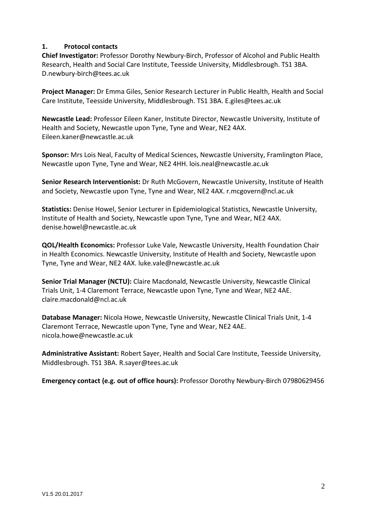### <span id="page-2-0"></span>**1. Protocol contacts**

**Chief Investigator:** Professor Dorothy Newbury-Birch, Professor of Alcohol and Public Health Research, Health and Social Care Institute, Teesside University, Middlesbrough. TS1 3BA. D.newbury-birch@tees.ac.uk

**Project Manager:** Dr Emma Giles, Senior Research Lecturer in Public Health, Health and Social Care Institute, Teesside University, Middlesbrough. TS1 3BA. E.giles@tees.ac.uk

**Newcastle Lead:** Professor Eileen Kaner, Institute Director, Newcastle University, Institute of Health and Society, Newcastle upon Tyne, Tyne and Wear, NE2 4AX. Eileen.kaner@newcastle.ac.uk

**Sponsor:** Mrs Lois Neal, Faculty of Medical Sciences, Newcastle University, Framlington Place, Newcastle upon Tyne, Tyne and Wear, NE2 4HH. lois.neal@newcastle.ac.uk

**Senior Research Interventionist:** Dr Ruth McGovern, Newcastle University, Institute of Health and Society, Newcastle upon Tyne, Tyne and Wear, NE2 4AX. r.mcgovern@ncl.ac.uk

**Statistics:** Denise Howel, Senior Lecturer in Epidemiological Statistics, Newcastle University, Institute of Health and Society, Newcastle upon Tyne, Tyne and Wear, NE2 4AX. denise.howel@newcastle.ac.uk

**QOL/Health Economics:** Professor Luke Vale, Newcastle University, Health Foundation Chair in Health Economics. Newcastle University, Institute of Health and Society, Newcastle upon Tyne, Tyne and Wear, NE2 4AX. luke.vale@newcastle.ac.uk

**Senior Trial Manager (NCTU):** Claire Macdonald, Newcastle University, Newcastle Clinical Trials Unit, 1-4 Claremont Terrace, Newcastle upon Tyne, Tyne and Wear, NE2 4AE. claire.macdonald@ncl.ac.uk

**Database Manager:** Nicola Howe, Newcastle University, Newcastle Clinical Trials Unit, 1-4 Claremont Terrace, Newcastle upon Tyne, Tyne and Wear, NE2 4AE. nicola.howe@newcastle.ac.uk

**Administrative Assistant:** Robert Sayer, Health and Social Care Institute, Teesside University, Middlesbrough. TS1 3BA. R.sayer@tees.ac.uk

**Emergency contact (e.g. out of office hours):** Professor Dorothy Newbury-Birch 07980629456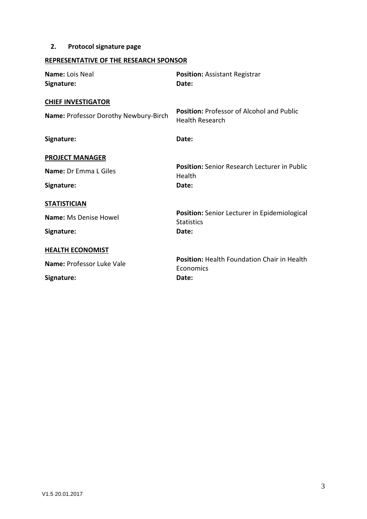# <span id="page-3-0"></span>**2. Protocol signature page**

# **REPRESENTATIVE OF THE RESEARCH SPONSOR**

| Name: Lois Neal<br>Signature:                                      | <b>Position: Assistant Registrar</b><br>Date:                     |
|--------------------------------------------------------------------|-------------------------------------------------------------------|
| <b>CHIEF INVESTIGATOR</b><br>Name: Professor Dorothy Newbury-Birch | <b>Position: Professor of Alcohol and Public</b>                  |
| Signature:                                                         | <b>Health Research</b><br>Date:                                   |
| <b>PROJECT MANAGER</b>                                             |                                                                   |
| Name: Dr Emma L Giles                                              | <b>Position:</b> Senior Research Lecturer in Public<br>Health     |
| Signature:                                                         | Date:                                                             |
| <b>STATISTICIAN</b><br><b>Name: Ms Denise Howel</b>                | Position: Senior Lecturer in Epidemiological<br><b>Statistics</b> |
| Signature:                                                         | Date:                                                             |
| <b>HEALTH ECONOMIST</b>                                            |                                                                   |
| Name: Professor Luke Vale                                          | Position: Health Foundation Chair in Health<br>Economics          |
| Signature:                                                         | Date:                                                             |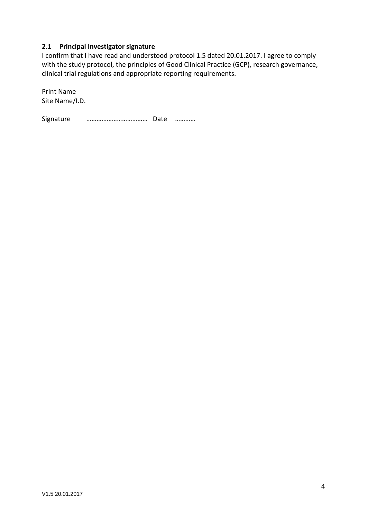### <span id="page-4-0"></span>**2.1 Principal Investigator signature**

I confirm that I have read and understood protocol 1.5 dated 20.01.2017. I agree to comply with the study protocol, the principles of Good Clinical Practice (GCP), research governance, clinical trial regulations and appropriate reporting requirements.

Print Name Site Name/I.D.

Signature ……………………………… Date …………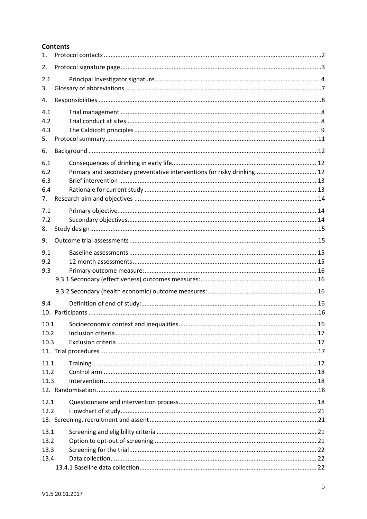### **Contents**

| 1.           |  |
|--------------|--|
| 2.           |  |
| 2.1          |  |
| 3.           |  |
| 4.           |  |
| 4.1          |  |
| 4.2          |  |
| 4.3          |  |
| 5.           |  |
| 6.           |  |
| 6.1          |  |
| 6.2          |  |
| 6.3          |  |
| 6.4          |  |
| 7.           |  |
| 7.1          |  |
| 7.2          |  |
| 8.           |  |
| 9.           |  |
| 9.1          |  |
| 9.2          |  |
| 9.3          |  |
|              |  |
|              |  |
| 9.4          |  |
|              |  |
| 10.1         |  |
| 10.2         |  |
| 10.3         |  |
|              |  |
| 11.1         |  |
| 11.2         |  |
| 11.3         |  |
|              |  |
| 12.1         |  |
| 12.2         |  |
|              |  |
| 13.1         |  |
| 13.2<br>13.3 |  |
| 13.4         |  |
|              |  |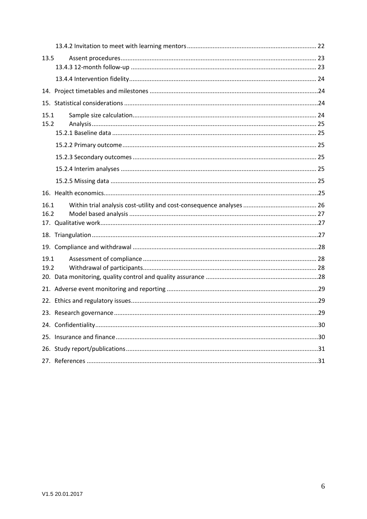| 13.5 |  |  |  |  |
|------|--|--|--|--|
|      |  |  |  |  |
|      |  |  |  |  |
|      |  |  |  |  |
|      |  |  |  |  |
| 15.1 |  |  |  |  |
| 15.2 |  |  |  |  |
|      |  |  |  |  |
|      |  |  |  |  |
|      |  |  |  |  |
|      |  |  |  |  |
|      |  |  |  |  |
|      |  |  |  |  |
| 16.1 |  |  |  |  |
| 16.2 |  |  |  |  |
|      |  |  |  |  |
|      |  |  |  |  |
|      |  |  |  |  |
| 19.1 |  |  |  |  |
| 19.2 |  |  |  |  |
|      |  |  |  |  |
|      |  |  |  |  |
|      |  |  |  |  |
|      |  |  |  |  |
|      |  |  |  |  |
|      |  |  |  |  |
|      |  |  |  |  |
|      |  |  |  |  |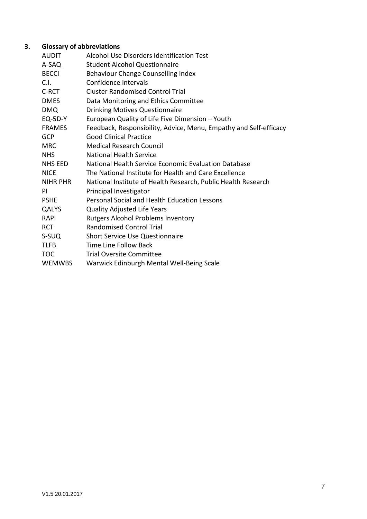# **3. Glossary of abbreviations**

<span id="page-7-0"></span>

| AUDIT           | Alcohol Use Disorders Identification Test                         |
|-----------------|-------------------------------------------------------------------|
| A-SAQ           | <b>Student Alcohol Questionnaire</b>                              |
| <b>BECCI</b>    | Behaviour Change Counselling Index                                |
| C.I.            | Confidence Intervals                                              |
| C-RCT           | <b>Cluster Randomised Control Trial</b>                           |
| <b>DMES</b>     | Data Monitoring and Ethics Committee                              |
| <b>DMQ</b>      | <b>Drinking Motives Questionnaire</b>                             |
| <b>EQ-5D-Y</b>  | European Quality of Life Five Dimension - Youth                   |
| <b>FRAMES</b>   | Feedback, Responsibility, Advice, Menu, Empathy and Self-efficacy |
| <b>GCP</b>      | <b>Good Clinical Practice</b>                                     |
| <b>MRC</b>      | <b>Medical Research Council</b>                                   |
| <b>NHS</b>      | <b>National Health Service</b>                                    |
| NHS EED         | National Health Service Economic Evaluation Database              |
| NICE            | The National Institute for Health and Care Excellence             |
| <b>NIHR PHR</b> | National Institute of Health Research, Public Health Research     |
| PI              | Principal Investigator                                            |
| <b>PSHE</b>     | Personal Social and Health Education Lessons                      |
| QALYS           | <b>Quality Adjusted Life Years</b>                                |
| <b>RAPI</b>     | Rutgers Alcohol Problems Inventory                                |
| <b>RCT</b>      | <b>Randomised Control Trial</b>                                   |
| S-SUQ           | <b>Short Service Use Questionnaire</b>                            |
| TLFB            | Time Line Follow Back                                             |
| TOC             | <b>Trial Oversite Committee</b>                                   |
| WEMWBS          | Warwick Edinburgh Mental Well-Being Scale                         |
|                 |                                                                   |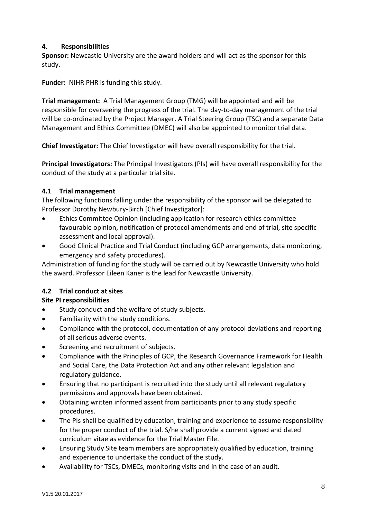### <span id="page-8-0"></span>**4. Responsibilities**

**Sponsor:** Newcastle University are the award holders and will act as the sponsor for this study.

**Funder:** NIHR PHR is funding this study.

**Trial management:** A Trial Management Group (TMG) will be appointed and will be responsible for overseeing the progress of the trial. The day-to-day management of the trial will be co-ordinated by the Project Manager. A Trial Steering Group (TSC) and a separate Data Management and Ethics Committee (DMEC) will also be appointed to monitor trial data.

**Chief Investigator:** The Chief Investigator will have overall responsibility for the trial.

**Principal Investigators:** The Principal Investigators (PIs) will have overall responsibility for the conduct of the study at a particular trial site.

## <span id="page-8-1"></span>**4.1 Trial management**

The following functions falling under the responsibility of the sponsor will be delegated to Professor Dorothy Newbury-Birch [Chief Investigator]:

- Ethics Committee Opinion (including application for research ethics committee favourable opinion, notification of protocol amendments and end of trial, site specific assessment and local approval).
- Good Clinical Practice and Trial Conduct (including GCP arrangements, data monitoring, emergency and safety procedures).

Administration of funding for the study will be carried out by Newcastle University who hold the award. Professor Eileen Kaner is the lead for Newcastle University.

# <span id="page-8-2"></span>**4.2 Trial conduct at sites**

# **Site PI responsibilities**

- Study conduct and the welfare of study subjects.
- Familiarity with the study conditions.
- Compliance with the protocol, documentation of any protocol deviations and reporting of all serious adverse events.
- Screening and recruitment of subjects.
- Compliance with the Principles of GCP, the Research Governance Framework for Health and Social Care, the Data Protection Act and any other relevant legislation and regulatory guidance.
- Ensuring that no participant is recruited into the study until all relevant regulatory permissions and approvals have been obtained.
- Obtaining written informed assent from participants prior to any study specific procedures.
- The PIs shall be qualified by education, training and experience to assume responsibility for the proper conduct of the trial. S/he shall provide a current signed and dated curriculum vitae as evidence for the Trial Master File.
- Ensuring Study Site team members are appropriately qualified by education, training and experience to undertake the conduct of the study.
- Availability for TSCs, DMECs, monitoring visits and in the case of an audit.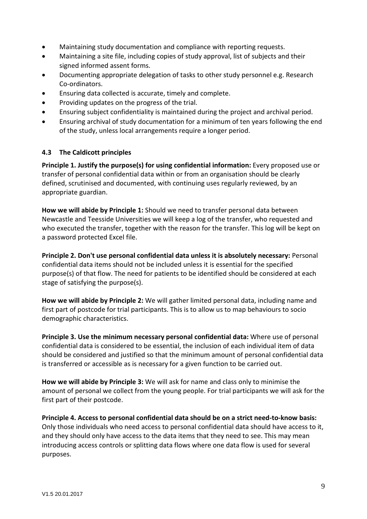- Maintaining study documentation and compliance with reporting requests.
- Maintaining a site file, including copies of study approval, list of subjects and their signed informed assent forms.
- Documenting appropriate delegation of tasks to other study personnel e.g. Research Co-ordinators.
- Ensuring data collected is accurate, timely and complete.
- Providing updates on the progress of the trial.
- Ensuring subject confidentiality is maintained during the project and archival period.
- Ensuring archival of study documentation for a minimum of ten years following the end of the study, unless local arrangements require a longer period.

#### <span id="page-9-0"></span>**4.3 The Caldicott principles**

**Principle 1. Justify the purpose(s) for using confidential information:** Every proposed use or transfer of personal confidential data within or from an organisation should be clearly defined, scrutinised and documented, with continuing uses regularly reviewed, by an appropriate guardian.

**How we will abide by Principle 1:** Should we need to transfer personal data between Newcastle and Teesside Universities we will keep a log of the transfer, who requested and who executed the transfer, together with the reason for the transfer. This log will be kept on a password protected Excel file.

**Principle 2. Don't use personal confidential data unless it is absolutely necessary:** Personal confidential data items should not be included unless it is essential for the specified purpose(s) of that flow. The need for patients to be identified should be considered at each stage of satisfying the purpose(s).

**How we will abide by Principle 2:** We will gather limited personal data, including name and first part of postcode for trial participants. This is to allow us to map behaviours to socio demographic characteristics.

**Principle 3. Use the minimum necessary personal confidential data:** Where use of personal confidential data is considered to be essential, the inclusion of each individual item of data should be considered and justified so that the minimum amount of personal confidential data is transferred or accessible as is necessary for a given function to be carried out.

**How we will abide by Principle 3:** We will ask for name and class only to minimise the amount of personal we collect from the young people. For trial participants we will ask for the first part of their postcode.

**Principle 4. Access to personal confidential data should be on a strict need-to-know basis:** Only those individuals who need access to personal confidential data should have access to it, and they should only have access to the data items that they need to see. This may mean introducing access controls or splitting data flows where one data flow is used for several purposes.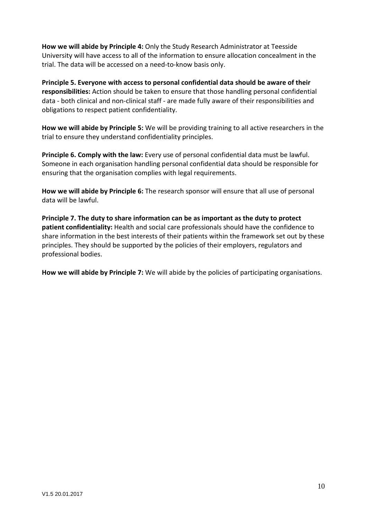**How we will abide by Principle 4:** Only the Study Research Administrator at Teesside University will have access to all of the information to ensure allocation concealment in the trial. The data will be accessed on a need-to-know basis only.

**Principle 5. Everyone with access to personal confidential data should be aware of their responsibilities:** Action should be taken to ensure that those handling personal confidential data - both clinical and non-clinical staff - are made fully aware of their responsibilities and obligations to respect patient confidentiality.

**How we will abide by Principle 5:** We will be providing training to all active researchers in the trial to ensure they understand confidentiality principles.

**Principle 6. Comply with the law:** Every use of personal confidential data must be lawful. Someone in each organisation handling personal confidential data should be responsible for ensuring that the organisation complies with legal requirements.

**How we will abide by Principle 6:** The research sponsor will ensure that all use of personal data will be lawful.

**Principle 7. The duty to share information can be as important as the duty to protect patient confidentiality:** Health and social care professionals should have the confidence to share information in the best interests of their patients within the framework set out by these principles. They should be supported by the policies of their employers, regulators and professional bodies.

**How we will abide by Principle 7:** We will abide by the policies of participating organisations.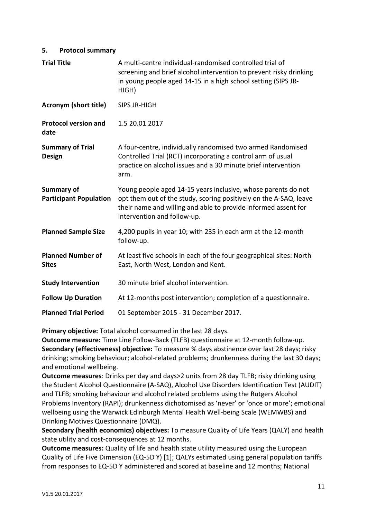#### <span id="page-11-0"></span>**5. Protocol summary**

| <b>Trial Title</b>                                 | A multi-centre individual-randomised controlled trial of<br>screening and brief alcohol intervention to prevent risky drinking<br>in young people aged 14-15 in a high school setting (SIPS JR-<br>HIGH)                            |
|----------------------------------------------------|-------------------------------------------------------------------------------------------------------------------------------------------------------------------------------------------------------------------------------------|
| <b>Acronym (short title)</b>                       | <b>SIPS JR-HIGH</b>                                                                                                                                                                                                                 |
| <b>Protocol version and</b><br>date                | 1.5 20.01.2017                                                                                                                                                                                                                      |
| <b>Summary of Trial</b><br><b>Design</b>           | A four-centre, individually randomised two armed Randomised<br>Controlled Trial (RCT) incorporating a control arm of usual<br>practice on alcohol issues and a 30 minute brief intervention<br>arm.                                 |
| <b>Summary of</b><br><b>Participant Population</b> | Young people aged 14-15 years inclusive, whose parents do not<br>opt them out of the study, scoring positively on the A-SAQ, leave<br>their name and willing and able to provide informed assent for<br>intervention and follow-up. |
| <b>Planned Sample Size</b>                         | 4,200 pupils in year 10; with 235 in each arm at the 12-month<br>follow-up.                                                                                                                                                         |
| <b>Planned Number of</b><br><b>Sites</b>           | At least five schools in each of the four geographical sites: North<br>East, North West, London and Kent.                                                                                                                           |
| <b>Study Intervention</b>                          | 30 minute brief alcohol intervention.                                                                                                                                                                                               |
| <b>Follow Up Duration</b>                          | At 12-months post intervention; completion of a questionnaire.                                                                                                                                                                      |
| <b>Planned Trial Period</b>                        | 01 September 2015 - 31 December 2017.                                                                                                                                                                                               |

**Primary objective:** Total alcohol consumed in the last 28 days.

**Outcome measure:** Time Line Follow-Back (TLFB) questionnaire at 12-month follow-up. **Secondary (effectiveness) objective:** To measure % days abstinence over last 28 days; risky drinking; smoking behaviour; alcohol-related problems; drunkenness during the last 30 days; and emotional wellbeing.

**Outcome measures**: Drinks per day and days>2 units from 28 day TLFB; risky drinking using the Student Alcohol Questionnaire (A-SAQ), Alcohol Use Disorders Identification Test (AUDIT) and TLFB; smoking behaviour and alcohol related problems using the Rutgers Alcohol Problems Inventory (RAPI); drunkenness dichotomised as 'never' or 'once or more'; emotional wellbeing using the Warwick Edinburgh Mental Health Well-being Scale (WEMWBS) and Drinking Motives Questionnaire (DMQ).

**Secondary (health economics) objectives:** To measure Quality of Life Years (QALY) and health state utility and cost-consequences at 12 months.

**Outcome measures:** Quality of life and health state utility measured using the European Quality of Life Five Dimension (EQ-5D Y) [1]; QALYs estimated using general population tariffs from responses to EQ-5D Y administered and scored at baseline and 12 months; National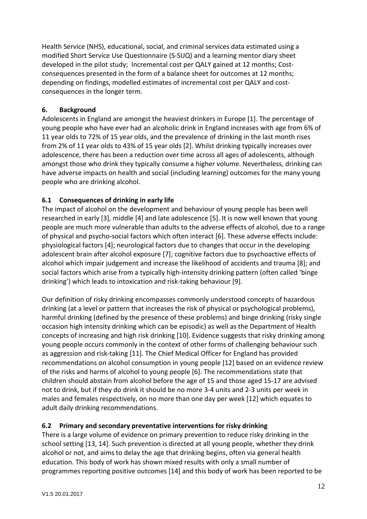Health Service (NHS), educational, social, and criminal services data estimated using a modified Short Service Use Questionnaire (S-SUQ) and a learning mentor diary sheet developed in the pilot study; Incremental cost per QALY gained at 12 months; Costconsequences presented in the form of a balance sheet for outcomes at 12 months; depending on findings, modelled estimates of incremental cost per QALY and costconsequences in the longer term.

### <span id="page-12-0"></span>**6. Background**

Adolescents in England are amongst the heaviest drinkers in Europe [1]. The percentage of young people who have ever had an alcoholic drink in England increases with age from 6% of 11 year olds to 72% of 15 year olds, and the prevalence of drinking in the last month rises from 2% of 11 year olds to 43% of 15 year olds [2]. Whilst drinking typically increases over adolescence, there has been a reduction over time across all ages of adolescents, although amongst those who drink they typically consume a higher volume. Nevertheless, drinking can have adverse impacts on health and social (including learning) outcomes for the many young people who are drinking alcohol.

# <span id="page-12-1"></span>**6.1 Consequences of drinking in early life**

The impact of alcohol on the development and behaviour of young people has been well researched in early [3], middle [4] and late adolescence [5]. It is now well known that young people are much more vulnerable than adults to the adverse effects of alcohol, due to a range of physical and psycho-social factors which often interact [6]. These adverse effects include: physiological factors [4]; neurological factors due to changes that occur in the developing adolescent brain after alcohol exposure [7]; cognitive factors due to psychoactive effects of alcohol which impair judgement and increase the likelihood of accidents and trauma [8]; and social factors which arise from a typically high-intensity drinking pattern (often called 'binge drinking') which leads to intoxication and risk-taking behaviour [9].

Our definition of risky drinking encompasses commonly understood concepts of hazardous drinking (at a level or pattern that increases the risk of physical or psychological problems), harmful drinking (defined by the presence of these problems) and binge drinking (risky single occasion high intensity drinking which can be episodic) as well as the Department of Health concepts of increasing and high risk drinking [10]. Evidence suggests that risky drinking among young people occurs commonly in the context of other forms of challenging behaviour such as aggression and risk-taking [11]. The Chief Medical Officer for England has provided recommendations on alcohol consumption in young people [12] based on an evidence review of the risks and harms of alcohol to young people [6]. The recommendations state that children should abstain from alcohol before the age of 15 and those aged 15-17 are advised not to drink, but if they do drink it should be no more 3-4 units and 2-3 units per week in males and females respectively, on no more than one day per week [12] which equates to adult daily drinking recommendations.

# <span id="page-12-2"></span>**6.2 Primary and secondary preventative interventions for risky drinking**

There is a large volume of evidence on primary prevention to reduce risky drinking in the school setting [13, 14]. Such prevention is directed at all young people, whether they drink alcohol or not, and aims to delay the age that drinking begins, often via general health education. This body of work has shown mixed results with only a small number of programmes reporting positive outcomes [14] and this body of work has been reported to be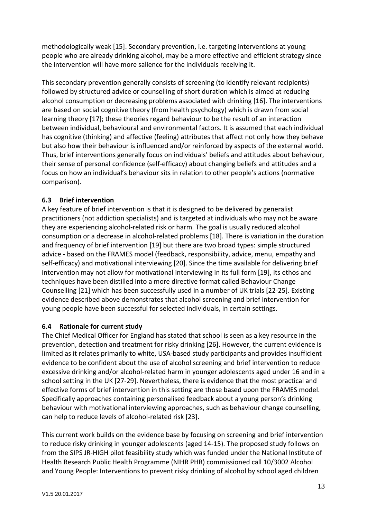methodologically weak [15]. Secondary prevention, i.e. targeting interventions at young people who are already drinking alcohol, may be a more effective and efficient strategy since the intervention will have more salience for the individuals receiving it.

This secondary prevention generally consists of screening (to identify relevant recipients) followed by structured advice or counselling of short duration which is aimed at reducing alcohol consumption or decreasing problems associated with drinking [16]. The interventions are based on social cognitive theory (from health psychology) which is drawn from social learning theory [17]; these theories regard behaviour to be the result of an interaction between individual, behavioural and environmental factors. It is assumed that each individual has cognitive (thinking) and affective (feeling) attributes that affect not only how they behave but also how their behaviour is influenced and/or reinforced by aspects of the external world. Thus, brief interventions generally focus on individuals' beliefs and attitudes about behaviour, their sense of personal confidence (self-efficacy) about changing beliefs and attitudes and a focus on how an individual's behaviour sits in relation to other people's actions (normative comparison).

# <span id="page-13-0"></span>**6.3 Brief intervention**

A key feature of brief intervention is that it is designed to be delivered by generalist practitioners (not addiction specialists) and is targeted at individuals who may not be aware they are experiencing alcohol-related risk or harm. The goal is usually reduced alcohol consumption or a decrease in alcohol-related problems [18]. There is variation in the duration and frequency of brief intervention [19] but there are two broad types: simple structured advice - based on the FRAMES model (feedback, responsibility, advice, menu, empathy and self-efficacy) and motivational interviewing [20]. Since the time available for delivering brief intervention may not allow for motivational interviewing in its full form [19], its ethos and techniques have been distilled into a more directive format called Behaviour Change Counselling [21] which has been successfully used in a number of UK trials [22-25]. Existing evidence described above demonstrates that alcohol screening and brief intervention for young people have been successful for selected individuals, in certain settings.

# <span id="page-13-1"></span>**6.4 Rationale for current study**

The Chief Medical Officer for England has stated that school is seen as a key resource in the prevention, detection and treatment for risky drinking [26]. However, the current evidence is limited as it relates primarily to white, USA-based study participants and provides insufficient evidence to be confident about the use of alcohol screening and brief intervention to reduce excessive drinking and/or alcohol-related harm in younger adolescents aged under 16 and in a school setting in the UK [27-29]. Nevertheless, there is evidence that the most practical and effective forms of brief intervention in this setting are those based upon the FRAMES model. Specifically approaches containing personalised feedback about a young person's drinking behaviour with motivational interviewing approaches, such as behaviour change counselling, can help to reduce levels of alcohol-related risk [23].

This current work builds on the evidence base by focusing on screening and brief intervention to reduce risky drinking in younger adolescents (aged 14-15). The proposed study follows on from the SIPS JR-HIGH pilot feasibility study which was funded under the National Institute of Health Research Public Health Programme (NIHR PHR) commissioned call 10/3002 Alcohol and Young People: Interventions to prevent risky drinking of alcohol by school aged children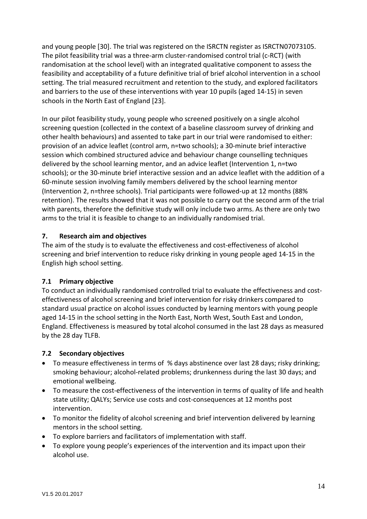and young people [30]. The trial was registered on the ISRCTN register as ISRCTN07073105. The pilot feasibility trial was a three-arm cluster-randomised control trial (c-RCT) (with randomisation at the school level) with an integrated qualitative component to assess the feasibility and acceptability of a future definitive trial of brief alcohol intervention in a school setting. The trial measured recruitment and retention to the study, and explored facilitators and barriers to the use of these interventions with year 10 pupils (aged 14-15) in seven schools in the North East of England [23].

In our pilot feasibility study, young people who screened positively on a single alcohol screening question (collected in the context of a baseline classroom survey of drinking and other health behaviours) and assented to take part in our trial were randomised to either: provision of an advice leaflet (control arm, n=two schools); a 30-minute brief interactive session which combined structured advice and behaviour change counselling techniques delivered by the school learning mentor, and an advice leaflet (Intervention 1, n=two schools); or the 30-minute brief interactive session and an advice leaflet with the addition of a 60-minute session involving family members delivered by the school learning mentor (Intervention 2, n=three schools). Trial participants were followed-up at 12 months (88% retention). The results showed that it was not possible to carry out the second arm of the trial with parents, therefore the definitive study will only include two arms. As there are only two arms to the trial it is feasible to change to an individually randomised trial.

## <span id="page-14-0"></span>**7. Research aim and objectives**

The aim of the study is to evaluate the effectiveness and cost-effectiveness of alcohol screening and brief intervention to reduce risky drinking in young people aged 14-15 in the English high school setting.

### <span id="page-14-1"></span>**7.1 Primary objective**

To conduct an individually randomised controlled trial to evaluate the effectiveness and costeffectiveness of alcohol screening and brief intervention for risky drinkers compared to standard usual practice on alcohol issues conducted by learning mentors with young people aged 14-15 in the school setting in the North East, North West, South East and London, England. Effectiveness is measured by total alcohol consumed in the last 28 days as measured by the 28 day TLFB.

### <span id="page-14-2"></span>**7.2 Secondary objectives**

- To measure effectiveness in terms of % days abstinence over last 28 days; risky drinking; smoking behaviour; alcohol-related problems; drunkenness during the last 30 days; and emotional wellbeing.
- To measure the cost-effectiveness of the intervention in terms of quality of life and health state utility; QALYs; Service use costs and cost-consequences at 12 months post intervention.
- To monitor the fidelity of alcohol screening and brief intervention delivered by learning mentors in the school setting.
- To explore barriers and facilitators of implementation with staff.
- To explore young people's experiences of the intervention and its impact upon their alcohol use.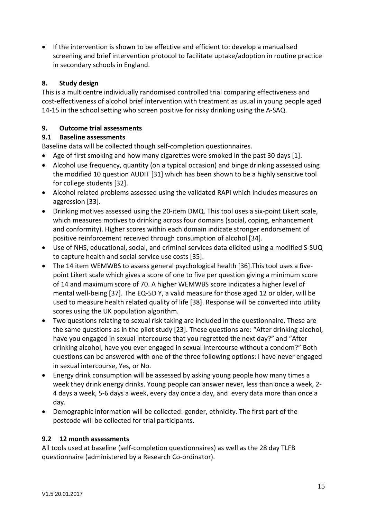• If the intervention is shown to be effective and efficient to: develop a manualised screening and brief intervention protocol to facilitate uptake/adoption in routine practice in secondary schools in England.

## <span id="page-15-0"></span>**8. Study design**

This is a multicentre individually randomised controlled trial comparing effectiveness and cost-effectiveness of alcohol brief intervention with treatment as usual in young people aged 14-15 in the school setting who screen positive for risky drinking using the A-SAQ.

## <span id="page-15-1"></span>**9. Outcome trial assessments**

## <span id="page-15-2"></span>**9.1 Baseline assessments**

Baseline data will be collected though self-completion questionnaires.

- Age of first smoking and how many cigarettes were smoked in the past 30 days [1].
- Alcohol use frequency, quantity (on a typical occasion) and binge drinking assessed using the modified 10 question AUDIT [31] which has been shown to be a highly sensitive tool for college students [32].
- Alcohol related problems assessed using the validated RAPI which includes measures on aggression [33].
- Drinking motives assessed using the 20-item DMQ. This tool uses a six-point Likert scale, which measures motives to drinking across four domains (social, coping, enhancement and conformity). Higher scores within each domain indicate stronger endorsement of positive reinforcement received through consumption of alcohol [34].
- Use of NHS, educational, social, and criminal services data elicited using a modified S-SUQ to capture health and social service use costs [35].
- The 14 item WEMWBS to assess general psychological health [36].This tool uses a fivepoint Likert scale which gives a score of one to five per question giving a minimum score of 14 and maximum score of 70. A higher WEMWBS score indicates a higher level of mental well-being [37]. The EQ-5D Y, a valid measure for those aged 12 or older, will be used to measure health related quality of life [38]. Response will be converted into utility scores using the UK population algorithm.
- Two questions relating to sexual risk taking are included in the questionnaire. These are the same questions as in the pilot study [23]. These questions are: "After drinking alcohol, have you engaged in sexual intercourse that you regretted the next day?" and "After drinking alcohol, have you ever engaged in sexual intercourse without a condom?" Both questions can be answered with one of the three following options: I have never engaged in sexual intercourse, Yes, or No.
- Energy drink consumption will be assessed by asking young people how many times a week they drink energy drinks. Young people can answer never, less than once a week, 2- 4 days a week, 5-6 days a week, every day once a day, and every data more than once a day.
- Demographic information will be collected: gender, ethnicity. The first part of the postcode will be collected for trial participants.

### <span id="page-15-3"></span>**9.2 12 month assessments**

All tools used at baseline (self-completion questionnaires) as well as the 28 day TLFB questionnaire (administered by a Research Co-ordinator).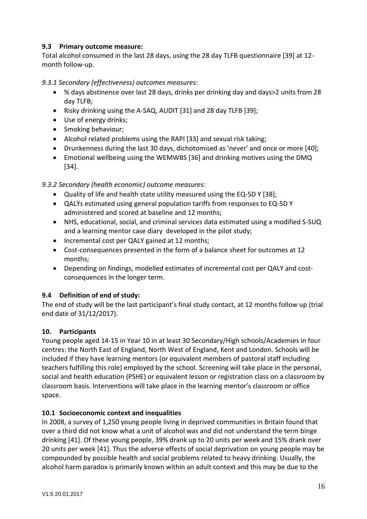### <span id="page-16-0"></span>**9.3 Primary outcome measure:**

Total alcohol consumed in the last 28 days, using the 28 day TLFB questionnaire [39] at 12 month follow-up.

## <span id="page-16-1"></span>*9.3.1 Secondary (effectiveness) outcomes measures:*

- % days abstinence over last 28 days, drinks per drinking day and days>2 units from 28 day TLFB;
- Risky drinking using the A-SAQ, AUDIT [31] and 28 day TLFB [39];
- Use of energy drinks;
- Smoking behaviour;
- Alcohol related problems using the RAPI [33] and sexual risk taking;
- Drunkenness during the last 30 days, dichotomised as 'never' and once or more [40];
- Emotional wellbeing using the WEMWBS [36] and drinking motives using the DMQ [34].

## <span id="page-16-2"></span>*9.3.2 Secondary (health economic) outcome measures:*

- Quality of life and health state utility measured using the EQ-5D Y [38];
- QALYs estimated using general population tariffs from responses to EQ-5D Y administered and scored at baseline and 12 months;
- NHS, educational, social, and criminal services data estimated using a modified S-SUQ and a learning mentor case diary developed in the pilot study;
- Incremental cost per QALY gained at 12 months;
- Cost-consequences presented in the form of a balance sheet for outcomes at 12 months;
- Depending on findings, modelled estimates of incremental cost per QALY and costconsequences in the longer term.

# <span id="page-16-3"></span>**9.4 Definition of end of study:**

The end of study will be the last participant's final study contact, at 12 months follow up (trial end date of 31/12/2017).

# <span id="page-16-4"></span>**10. Participants**

Young people aged 14-15 in Year 10 in at least 30 Secondary/High schools/Academies in four centres: the North East of England, North West of England, Kent and London. Schools will be included if they have learning mentors (or equivalent members of pastoral staff including teachers fulfilling this role) employed by the school. Screening will take place in the personal, social and health education (PSHE) or equivalent lesson or registration class on a classroom by classroom basis. Interventions will take place in the learning mentor's classroom or office space.

### <span id="page-16-5"></span>**10.1 Socioeconomic context and inequalities**

In 2008, a survey of 1,250 young people living in deprived communities in Britain found that over a third did not know what a unit of alcohol was and did not understand the term binge drinking [41]. Of these young people, 39% drank up to 20 units per week and 15% drank over 20 units per week [41]. Thus the adverse effects of social deprivation on young people may be compounded by possible health and social problems related to heavy drinking. Usually, the alcohol harm paradox is primarily known within an adult context and this may be due to the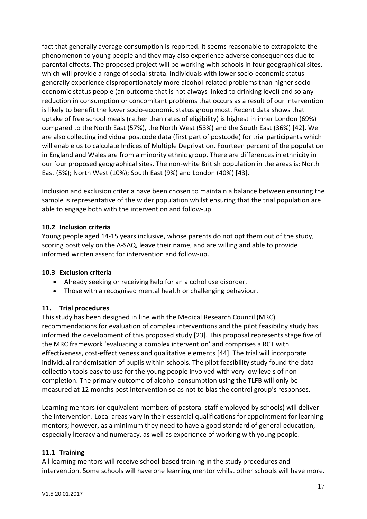fact that generally average consumption is reported. It seems reasonable to extrapolate the phenomenon to young people and they may also experience adverse consequences due to parental effects. The proposed project will be working with schools in four geographical sites, which will provide a range of social strata. Individuals with lower socio-economic status generally experience disproportionately more alcohol-related problems than higher socioeconomic status people (an outcome that is not always linked to drinking level) and so any reduction in consumption or concomitant problems that occurs as a result of our intervention is likely to benefit the lower socio-economic status group most. Recent data shows that uptake of free school meals (rather than rates of eligibility) is highest in inner London (69%) compared to the North East (57%), the North West (53%) and the South East (36%) [42]. We are also collecting individual postcode data (first part of postcode) for trial participants which will enable us to calculate Indices of Multiple Deprivation. Fourteen percent of the population in England and Wales are from a minority ethnic group. There are differences in ethnicity in our four proposed geographical sites. The non-white British population in the areas is: North East (5%); North West (10%); South East (9%) and London (40%) [43].

Inclusion and exclusion criteria have been chosen to maintain a balance between ensuring the sample is representative of the wider population whilst ensuring that the trial population are able to engage both with the intervention and follow-up.

## <span id="page-17-0"></span>**10.2 Inclusion criteria**

Young people aged 14-15 years inclusive, whose parents do not opt them out of the study, scoring positively on the A-SAQ, leave their name, and are willing and able to provide informed written assent for intervention and follow-up.

### <span id="page-17-1"></span>**10.3 Exclusion criteria**

- Already seeking or receiving help for an alcohol use disorder.
- Those with a recognised mental health or challenging behaviour.

### <span id="page-17-2"></span>**11. Trial procedures**

This study has been designed in line with the Medical Research Council (MRC) recommendations for evaluation of complex interventions and the pilot feasibility study has informed the development of this proposed study [23]. This proposal represents stage five of the MRC framework 'evaluating a complex intervention' and comprises a RCT with effectiveness, cost-effectiveness and qualitative elements [44]. The trial will incorporate individual randomisation of pupils within schools. The pilot feasibility study found the data collection tools easy to use for the young people involved with very low levels of noncompletion. The primary outcome of alcohol consumption using the TLFB will only be measured at 12 months post intervention so as not to bias the control group's responses.

Learning mentors (or equivalent members of pastoral staff employed by schools) will deliver the intervention. Local areas vary in their essential qualifications for appointment for learning mentors; however, as a minimum they need to have a good standard of general education, especially literacy and numeracy, as well as experience of working with young people.

### <span id="page-17-3"></span>**11.1 Training**

All learning mentors will receive school-based training in the study procedures and intervention. Some schools will have one learning mentor whilst other schools will have more.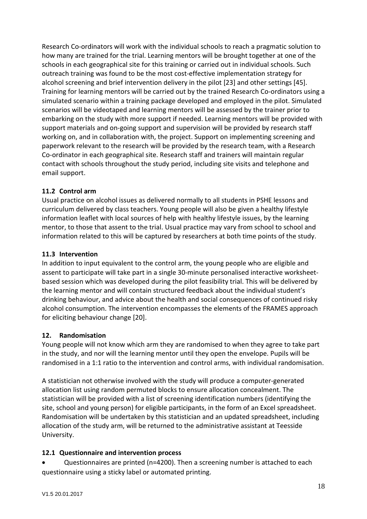Research Co-ordinators will work with the individual schools to reach a pragmatic solution to how many are trained for the trial. Learning mentors will be brought together at one of the schools in each geographical site for this training or carried out in individual schools. Such outreach training was found to be the most cost-effective implementation strategy for alcohol screening and brief intervention delivery in the pilot [23] and other settings [45]. Training for learning mentors will be carried out by the trained Research Co-ordinators using a simulated scenario within a training package developed and employed in the pilot. Simulated scenarios will be videotaped and learning mentors will be assessed by the trainer prior to embarking on the study with more support if needed. Learning mentors will be provided with support materials and on-going support and supervision will be provided by research staff working on, and in collaboration with, the project. Support on implementing screening and paperwork relevant to the research will be provided by the research team, with a Research Co-ordinator in each geographical site. Research staff and trainers will maintain regular contact with schools throughout the study period, including site visits and telephone and email support.

## <span id="page-18-0"></span>**11.2 Control arm**

Usual practice on alcohol issues as delivered normally to all students in PSHE lessons and curriculum delivered by class teachers. Young people will also be given a healthy lifestyle information leaflet with local sources of help with healthy lifestyle issues, by the learning mentor, to those that assent to the trial. Usual practice may vary from school to school and information related to this will be captured by researchers at both time points of the study.

## <span id="page-18-1"></span>**11.3 Intervention**

In addition to input equivalent to the control arm, the young people who are eligible and assent to participate will take part in a single 30-minute personalised interactive worksheetbased session which was developed during the pilot feasibility trial. This will be delivered by the learning mentor and will contain structured feedback about the individual student's drinking behaviour, and advice about the health and social consequences of continued risky alcohol consumption. The intervention encompasses the elements of the FRAMES approach for eliciting behaviour change [20].

# <span id="page-18-2"></span>**12. Randomisation**

Young people will not know which arm they are randomised to when they agree to take part in the study, and nor will the learning mentor until they open the envelope. Pupils will be randomised in a 1:1 ratio to the intervention and control arms, with individual randomisation.

A statistician not otherwise involved with the study will produce a computer-generated allocation list using random permuted blocks to ensure allocation concealment. The statistician will be provided with a list of screening identification numbers (identifying the site, school and young person) for eligible participants, in the form of an Excel spreadsheet. Randomisation will be undertaken by this statistician and an updated spreadsheet, including allocation of the study arm, will be returned to the administrative assistant at Teesside University.

# <span id="page-18-3"></span>**12.1 Questionnaire and intervention process**

• Questionnaires are printed (n=4200). Then a screening number is attached to each questionnaire using a sticky label or automated printing.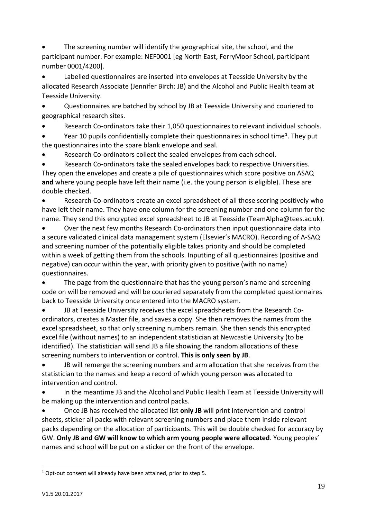The screening number will identify the geographical site, the school, and the participant number. For example: NEF0001 [eg North East, FerryMoor School, participant number 0001/4200].

• Labelled questionnaires are inserted into envelopes at Teesside University by the allocated Research Associate (Jennifer Birch: JB) and the Alcohol and Public Health team at Teesside University.

• Questionnaires are batched by school by JB at Teesside University and couriered to geographical research sites.

• Research Co-ordinators take their 1,050 questionnaires to relevant individual schools.

• Year 10 pupils confidentially complete their questionnaires in school time**[1](#page-19-0)**. They put the questionnaires into the spare blank envelope and seal.

• Research Co-ordinators collect the sealed envelopes from each school.

• Research Co-ordinators take the sealed envelopes back to respective Universities. They open the envelopes and create a pile of questionnaires which score positive on ASAQ **and** where young people have left their name (i.e. the young person is eligible). These are double checked.

• Research Co-ordinators create an excel spreadsheet of all those scoring positively who have left their name. They have one column for the screening number and one column for the name. They send this encrypted excel spreadsheet to JB at Teesside (TeamAlpha@tees.ac.uk).

• Over the next few months Research Co-ordinators then input questionnaire data into a secure validated clinical data management system (Elsevier's MACRO). Recording of A-SAQ and screening number of the potentially eligible takes priority and should be completed within a week of getting them from the schools. Inputting of all questionnaires (positive and negative) can occur within the year, with priority given to positive (with no name) questionnaires.

The page from the questionnaire that has the young person's name and screening code on will be removed and will be couriered separately from the completed questionnaires back to Teesside University once entered into the MACRO system.

• JB at Teesside University receives the excel spreadsheets from the Research Coordinators, creates a Master file, and saves a copy. She then removes the names from the excel spreadsheet, so that only screening numbers remain. She then sends this encrypted excel file (without names) to an independent statistician at Newcastle University (to be identified). The statistician will send JB a file showing the random allocations of these screening numbers to intervention or control. **This is only seen by JB**.

• JB will remerge the screening numbers and arm allocation that she receives from the statistician to the names and keep a record of which young person was allocated to intervention and control.

• In the meantime JB and the Alcohol and Public Health Team at Teesside University will be making up the intervention and control packs.

• Once JB has received the allocated list **only JB** will print intervention and control sheets, sticker all packs with relevant screening numbers and place them inside relevant packs depending on the allocation of participants. This will be double checked for accuracy by GW. **Only JB and GW will know to which arm young people were allocated**. Young peoples' names and school will be put on a sticker on the front of the envelope.

 $\overline{a}$ 

<span id="page-19-0"></span><sup>1</sup> Opt-out consent will already have been attained, prior to step 5.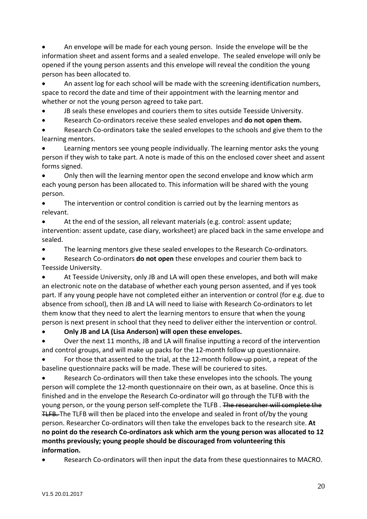• An envelope will be made for each young person. Inside the envelope will be the information sheet and assent forms and a sealed envelope. The sealed envelope will only be opened if the young person assents and this envelope will reveal the condition the young person has been allocated to.

• An assent log for each school will be made with the screening identification numbers, space to record the date and time of their appointment with the learning mentor and whether or not the young person agreed to take part.

JB seals these envelopes and couriers them to sites outside Teesside University.

• Research Co-ordinators receive these sealed envelopes and **do not open them.**

Research Co-ordinators take the sealed envelopes to the schools and give them to the learning mentors.

• Learning mentors see young people individually. The learning mentor asks the young person if they wish to take part. A note is made of this on the enclosed cover sheet and assent forms signed.

• Only then will the learning mentor open the second envelope and know which arm each young person has been allocated to. This information will be shared with the young person.

The intervention or control condition is carried out by the learning mentors as relevant.

• At the end of the session, all relevant materials (e.g. control: assent update; intervention: assent update, case diary, worksheet) are placed back in the same envelope and sealed.

• The learning mentors give these sealed envelopes to the Research Co-ordinators.

• Research Co-ordinators **do not open** these envelopes and courier them back to Teesside University.

• At Teesside University, only JB and LA will open these envelopes, and both will make an electronic note on the database of whether each young person assented, and if yes took part. If any young people have not completed either an intervention or control (for e.g. due to absence from school), then JB and LA will need to liaise with Research Co-ordinators to let them know that they need to alert the learning mentors to ensure that when the young person is next present in school that they need to deliver either the intervention or control.

• **Only JB and LA (Lisa Anderson) will open these envelopes.**

• Over the next 11 months, JB and LA will finalise inputting a record of the intervention and control groups, and will make up packs for the 12-month follow up questionnaire.

• For those that assented to the trial, at the 12-month follow-up point, a repeat of the baseline questionnaire packs will be made. These will be couriered to sites.

• Research Co-ordinators will then take these envelopes into the schools. The young person will complete the 12-month questionnaire on their own, as at baseline. Once this is finished and in the envelope the Research Co-ordinator will go through the TLFB with the young person, or the young person self-complete the TLFB. The researcher will complete the TLFB. The TLFB will then be placed into the envelope and sealed in front of/by the young person. Researcher Co-ordinators will then take the envelopes back to the research site. **At no point do the research Co-ordinators ask which arm the young person was allocated to 12 months previously; young people should be discouraged from volunteering this information.**

• Research Co-ordinators will then input the data from these questionnaires to MACRO.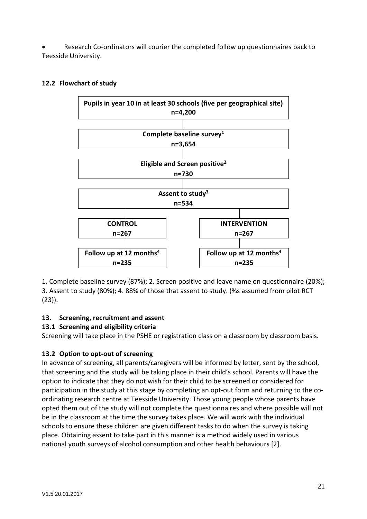• Research Co-ordinators will courier the completed follow up questionnaires back to Teesside University.



### <span id="page-21-0"></span>**12.2 Flowchart of study**

1. Complete baseline survey (87%); 2. Screen positive and leave name on questionnaire (20%); 3. Assent to study (80%); 4. 88% of those that assent to study. (%s assumed from pilot RCT (23)).

# <span id="page-21-1"></span>**13. Screening, recruitment and assent**

# <span id="page-21-2"></span>**13.1 Screening and eligibility criteria**

Screening will take place in the PSHE or registration class on a classroom by classroom basis.

# <span id="page-21-3"></span>**13.2 Option to opt-out of screening**

In advance of screening, all parents/caregivers will be informed by letter, sent by the school, that screening and the study will be taking place in their child's school. Parents will have the option to indicate that they do not wish for their child to be screened or considered for participation in the study at this stage by completing an opt-out form and returning to the coordinating research centre at Teesside University. Those young people whose parents have opted them out of the study will not complete the questionnaires and where possible will not be in the classroom at the time the survey takes place. We will work with the individual schools to ensure these children are given different tasks to do when the survey is taking place. Obtaining assent to take part in this manner is a method widely used in various national youth surveys of alcohol consumption and other health behaviours [2].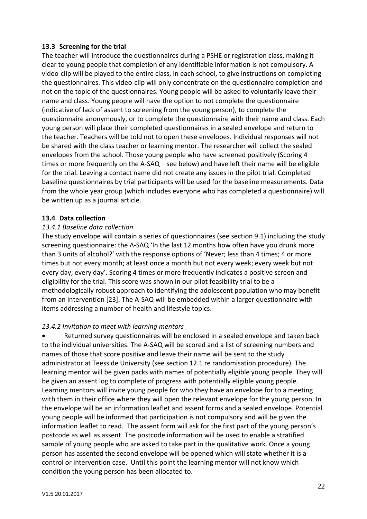### <span id="page-22-0"></span>**13.3 Screening for the trial**

The teacher will introduce the questionnaires during a PSHE or registration class, making it clear to young people that completion of any identifiable information is not compulsory. A video-clip will be played to the entire class, in each school, to give instructions on completing the questionnaires. This video-clip will only concentrate on the questionnaire completion and not on the topic of the questionnaires. Young people will be asked to voluntarily leave their name and class. Young people will have the option to not complete the questionnaire (indicative of lack of assent to screening from the young person), to complete the questionnaire anonymously, or to complete the questionnaire with their name and class. Each young person will place their completed questionnaires in a sealed envelope and return to the teacher. Teachers will be told not to open these envelopes. Individual responses will not be shared with the class teacher or learning mentor. The researcher will collect the sealed envelopes from the school. Those young people who have screened positively (Scoring 4 times or more frequently on the A-SAQ – see below) and have left their name will be eligible for the trial. Leaving a contact name did not create any issues in the pilot trial. Completed baseline questionnaires by trial participants will be used for the baseline measurements. Data from the whole year group (which includes everyone who has completed a questionnaire) will be written up as a journal article.

#### <span id="page-22-1"></span>**13.4 Data collection**

#### <span id="page-22-2"></span>*13.4.1 Baseline data collection*

The study envelope will contain a series of questionnaires (see section 9.1) including the study screening questionnaire: the A-SAQ 'In the last 12 months how often have you drunk more than 3 units of alcohol?' with the response options of 'Never; less than 4 times; 4 or more times but not every month; at least once a month but not every week; every week but not every day; every day'. Scoring 4 times or more frequently indicates a positive screen and eligibility for the trial. This score was shown in our pilot feasibility trial to be a methodologically robust approach to identifying the adolescent population who may benefit from an intervention [23]. The A-SAQ will be embedded within a larger questionnaire with items addressing a number of health and lifestyle topics.

### <span id="page-22-3"></span>*13.4.2 Invitation to meet with learning mentors*

Returned survey questionnaires will be enclosed in a sealed envelope and taken back to the individual universities. The A-SAQ will be scored and a list of screening numbers and names of those that score positive and leave their name will be sent to the study administrator at Teesside University (see section 12.1 re randomisation procedure). The learning mentor will be given packs with names of potentially eligible young people. They will be given an assent log to complete of progress with potentially eligible young people. Learning mentors will invite young people for who they have an envelope for to a meeting with them in their office where they will open the relevant envelope for the young person. In the envelope will be an information leaflet and assent forms and a sealed envelope. Potential young people will be informed that participation is not compulsory and will be given the information leaflet to read. The assent form will ask for the first part of the young person's postcode as well as assent. The postcode information will be used to enable a stratified sample of young people who are asked to take part in the qualitative work. Once a young person has assented the second envelope will be opened which will state whether it is a control or intervention case. Until this point the learning mentor will not know which condition the young person has been allocated to.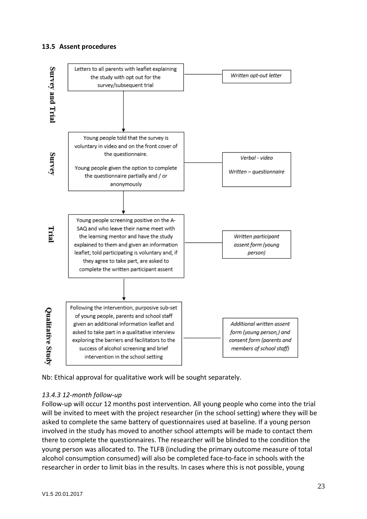#### <span id="page-23-0"></span>**13.5 Assent procedures**



Nb: Ethical approval for qualitative work will be sought separately.

### <span id="page-23-1"></span>*13.4.3 12-month follow-up*

Follow-up will occur 12 months post intervention. All young people who come into the trial will be invited to meet with the project researcher (in the school setting) where they will be asked to complete the same battery of questionnaires used at baseline. If a young person involved in the study has moved to another school attempts will be made to contact them there to complete the questionnaires. The researcher will be blinded to the condition the young person was allocated to. The TLFB (including the primary outcome measure of total alcohol consumption consumed) will also be completed face-to-face in schools with the researcher in order to limit bias in the results. In cases where this is not possible, young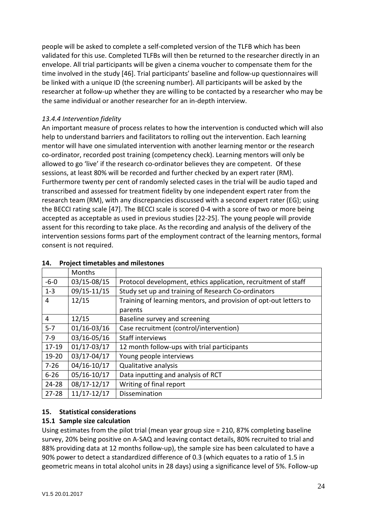people will be asked to complete a self-completed version of the TLFB which has been validated for this use. Completed TLFBs will then be returned to the researcher directly in an envelope. All trial participants will be given a cinema voucher to compensate them for the time involved in the study [46]. Trial participants' baseline and follow-up questionnaires will be linked with a unique ID (the screening number). All participants will be asked by the researcher at follow-up whether they are willing to be contacted by a researcher who may be the same individual or another researcher for an in-depth interview.

## <span id="page-24-0"></span>*13.4.4 Intervention fidelity*

An important measure of process relates to how the intervention is conducted which will also help to understand barriers and facilitators to rolling out the intervention. Each learning mentor will have one simulated intervention with another learning mentor or the research co-ordinator, recorded post training (competency check). Learning mentors will only be allowed to go 'live' if the research co-ordinator believes they are competent. Of these sessions, at least 80% will be recorded and further checked by an expert rater (RM). Furthermore twenty per cent of randomly selected cases in the trial will be audio taped and transcribed and assessed for treatment fidelity by one independent expert rater from the research team (RM), with any discrepancies discussed with a second expert rater (EG); using the BECCI rating scale [47]. The BECCI scale is scored 0-4 with a score of two or more being accepted as acceptable as used in previous studies [22-25]. The young people will provide assent for this recording to take place. As the recording and analysis of the delivery of the intervention sessions forms part of the employment contract of the learning mentors, formal consent is not required.

|                | Months          |                                                                   |  |
|----------------|-----------------|-------------------------------------------------------------------|--|
| $-6-0$         | 03/15-08/15     | Protocol development, ethics application, recruitment of staff    |  |
| $1 - 3$        | 09/15-11/15     | Study set up and training of Research Co-ordinators               |  |
| 4              | 12/15           | Training of learning mentors, and provision of opt-out letters to |  |
|                |                 | parents                                                           |  |
| $\overline{4}$ | 12/15           | Baseline survey and screening                                     |  |
| $5 - 7$        | $01/16 - 03/16$ | Case recruitment (control/intervention)                           |  |
| $7-9$          | 03/16-05/16     | Staff interviews                                                  |  |
| $17 - 19$      | $01/17 - 03/17$ | 12 month follow-ups with trial participants                       |  |
| 19-20          | 03/17-04/17     | Young people interviews                                           |  |
| $7 - 26$       | $04/16 - 10/17$ | Qualitative analysis                                              |  |
| $6 - 26$       | $05/16 - 10/17$ | Data inputting and analysis of RCT                                |  |
| $24 - 28$      | 08/17-12/17     | Writing of final report                                           |  |
| $27 - 28$      | $11/17 - 12/17$ | Dissemination                                                     |  |

#### <span id="page-24-1"></span>**14. Project timetables and milestones**

# <span id="page-24-2"></span>**15. Statistical considerations**

# <span id="page-24-3"></span>**15.1 Sample size calculation**

Using estimates from the pilot trial (mean year group size = 210, 87% completing baseline survey, 20% being positive on A-SAQ and leaving contact details, 80% recruited to trial and 88% providing data at 12 months follow-up), the sample size has been calculated to have a 90% power to detect a standardized difference of 0.3 (which equates to a ratio of 1.5 in geometric means in total alcohol units in 28 days) using a significance level of 5%. Follow-up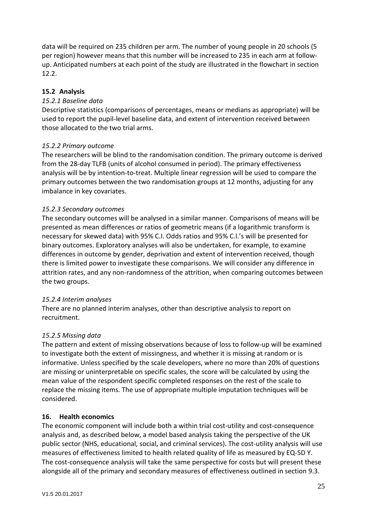data will be required on 235 children per arm. The number of young people in 20 schools (5 per region) however means that this number will be increased to 235 in each arm at followup. Anticipated numbers at each point of the study are illustrated in the flowchart in section 12.2.

### <span id="page-25-0"></span>**15.2 Analysis**

#### <span id="page-25-1"></span>*15.2.1 Baseline data*

Descriptive statistics (comparisons of percentages, means or medians as appropriate) will be used to report the pupil-level baseline data, and extent of intervention received between those allocated to the two trial arms.

#### <span id="page-25-2"></span>*15.2.2 Primary outcome*

The researchers will be blind to the randomisation condition. The primary outcome is derived from the 28-day TLFB (units of alcohol consumed in period). The primary effectiveness analysis will be by intention-to-treat. Multiple linear regression will be used to compare the primary outcomes between the two randomisation groups at 12 months, adjusting for any imbalance in key covariates.

#### <span id="page-25-3"></span>*15.2.3 Secondary outcomes*

The secondary outcomes will be analysed in a similar manner. Comparisons of means will be presented as mean differences or ratios of geometric means (if a logarithmic transform is necessary for skewed data) with 95% C.I. Odds ratios and 95% C.I.'s will be presented for binary outcomes. Exploratory analyses will also be undertaken, for example, to examine differences in outcome by gender, deprivation and extent of intervention received, though there is limited power to investigate these comparisons. We will consider any difference in attrition rates, and any non-randomness of the attrition, when comparing outcomes between the two groups.

#### <span id="page-25-4"></span>*15.2.4 Interim analyses*

There are no planned interim analyses, other than descriptive analysis to report on recruitment.

#### <span id="page-25-5"></span>*15.2.5 Missing data*

The pattern and extent of missing observations because of loss to follow-up will be examined to investigate both the extent of missingness, and whether it is missing at random or is informative. Unless specified by the scale developers, where no more than 20% of questions are missing or uninterpretable on specific scales, the score will be calculated by using the mean value of the respondent specific completed responses on the rest of the scale to replace the missing items. The use of appropriate multiple imputation techniques will be considered.

#### <span id="page-25-6"></span>**16. Health economics**

The economic component will include both a within trial cost-utility and cost-consequence analysis and, as described below, a model based analysis taking the perspective of the UK public sector (NHS, educational, social, and criminal services). The cost-utility analysis will use measures of effectiveness limited to health related quality of life as measured by EQ-5D Y. The cost-consequence analysis will take the same perspective for costs but will present these alongside all of the primary and secondary measures of effectiveness outlined in section 9.3.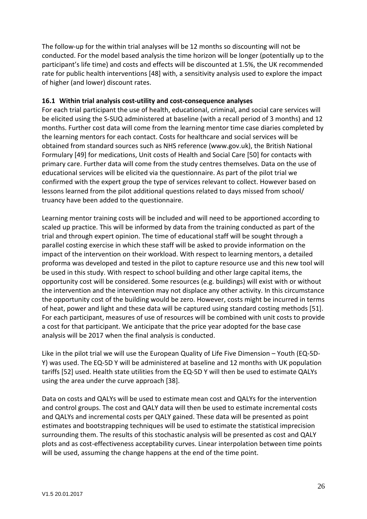The follow-up for the within trial analyses will be 12 months so discounting will not be conducted. For the model based analysis the time horizon will be longer (potentially up to the participant's life time) and costs and effects will be discounted at 1.5%, the UK recommended rate for public health interventions [48] with, a sensitivity analysis used to explore the impact of higher (and lower) discount rates.

#### <span id="page-26-0"></span>**16.1 Within trial analysis cost-utility and cost-consequence analyses**

For each trial participant the use of health, educational, criminal, and social care services will be elicited using the S-SUQ administered at baseline (with a recall period of 3 months) and 12 months. Further cost data will come from the learning mentor time case diaries completed by the learning mentors for each contact. Costs for healthcare and social services will be obtained from standard sources such as NHS reference (www.gov.uk), the British National Formulary [49] for medications, Unit costs of Health and Social Care [50] for contacts with primary care. Further data will come from the study centres themselves. Data on the use of educational services will be elicited via the questionnaire. As part of the pilot trial we confirmed with the expert group the type of services relevant to collect. However based on lessons learned from the pilot additional questions related to days missed from school/ truancy have been added to the questionnaire.

Learning mentor training costs will be included and will need to be apportioned according to scaled up practice. This will be informed by data from the training conducted as part of the trial and through expert opinion. The time of educational staff will be sought through a parallel costing exercise in which these staff will be asked to provide information on the impact of the intervention on their workload. With respect to learning mentors, a detailed proforma was developed and tested in the pilot to capture resource use and this new tool will be used in this study. With respect to school building and other large capital items, the opportunity cost will be considered. Some resources (e.g. buildings) will exist with or without the intervention and the intervention may not displace any other activity. In this circumstance the opportunity cost of the building would be zero. However, costs might be incurred in terms of heat, power and light and these data will be captured using standard costing methods [51]. For each participant, measures of use of resources will be combined with unit costs to provide a cost for that participant. We anticipate that the price year adopted for the base case analysis will be 2017 when the final analysis is conducted.

Like in the pilot trial we will use the European Quality of Life Five Dimension – Youth (EQ-5D-Y) was used. The EQ-5D Y will be administered at baseline and 12 months with UK population tariffs [52] used. Health state utilities from the EQ-5D Y will then be used to estimate QALYs using the area under the curve approach [38].

Data on costs and QALYs will be used to estimate mean cost and QALYs for the intervention and control groups. The cost and QALY data will then be used to estimate incremental costs and QALYs and incremental costs per QALY gained. These data will be presented as point estimates and bootstrapping techniques will be used to estimate the statistical imprecision surrounding them. The results of this stochastic analysis will be presented as cost and QALY plots and as cost-effectiveness acceptability curves. Linear interpolation between time points will be used, assuming the change happens at the end of the time point.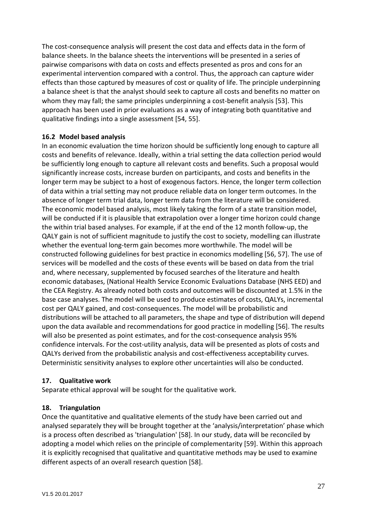The cost-consequence analysis will present the cost data and effects data in the form of balance sheets. In the balance sheets the interventions will be presented in a series of pairwise comparisons with data on costs and effects presented as pros and cons for an experimental intervention compared with a control. Thus, the approach can capture wider effects than those captured by measures of cost or quality of life. The principle underpinning a balance sheet is that the analyst should seek to capture all costs and benefits no matter on whom they may fall; the same principles underpinning a cost-benefit analysis [53]. This approach has been used in prior evaluations as a way of integrating both quantitative and qualitative findings into a single assessment [54, 55].

### <span id="page-27-0"></span>**16.2 Model based analysis**

In an economic evaluation the time horizon should be sufficiently long enough to capture all costs and benefits of relevance. Ideally, within a trial setting the data collection period would be sufficiently long enough to capture all relevant costs and benefits. Such a proposal would significantly increase costs, increase burden on participants, and costs and benefits in the longer term may be subject to a host of exogenous factors. Hence, the longer term collection of data within a trial setting may not produce reliable data on longer term outcomes. In the absence of longer term trial data, longer term data from the literature will be considered. The economic model based analysis, most likely taking the form of a state transition model, will be conducted if it is plausible that extrapolation over a longer time horizon could change the within trial based analyses. For example, if at the end of the 12 month follow-up, the QALY gain is not of sufficient magnitude to justify the cost to society, modelling can illustrate whether the eventual long-term gain becomes more worthwhile. The model will be constructed following guidelines for best practice in economics modelling [56, 57]. The use of services will be modelled and the costs of these events will be based on data from the trial and, where necessary, supplemented by focused searches of the literature and health economic databases, (National Health Service Economic Evaluations Database (NHS EED) and the CEA Registry. As already noted both costs and outcomes will be discounted at 1.5% in the base case analyses. The model will be used to produce estimates of costs, QALYs, incremental cost per QALY gained, and cost-consequences. The model will be probabilistic and distributions will be attached to all parameters, the shape and type of distribution will depend upon the data available and recommendations for good practice in modelling [56]. The results will also be presented as point estimates, and for the cost-consequence analysis 95% confidence intervals. For the cost-utility analysis, data will be presented as plots of costs and QALYs derived from the probabilistic analysis and cost-effectiveness acceptability curves. Deterministic sensitivity analyses to explore other uncertainties will also be conducted.

#### <span id="page-27-1"></span>**17. Qualitative work**

Separate ethical approval will be sought for the qualitative work.

#### <span id="page-27-2"></span>**18. Triangulation**

Once the quantitative and qualitative elements of the study have been carried out and analysed separately they will be brought together at the 'analysis/interpretation' phase which is a process often described as 'triangulation' [58]. In our study, data will be reconciled by adopting a model which relies on the principle of complementarity [59]. Within this approach it is explicitly recognised that qualitative and quantitative methods may be used to examine different aspects of an overall research question [58].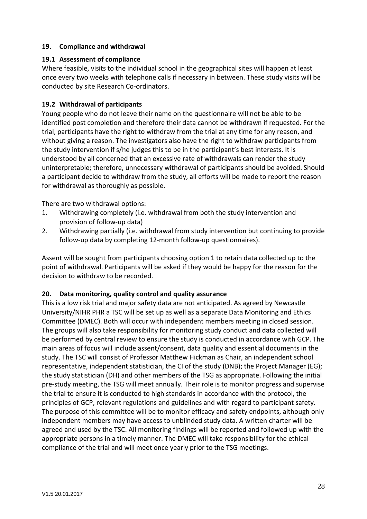#### <span id="page-28-0"></span>**19. Compliance and withdrawal**

#### <span id="page-28-1"></span>**19.1 Assessment of compliance**

Where feasible, visits to the individual school in the geographical sites will happen at least once every two weeks with telephone calls if necessary in between. These study visits will be conducted by site Research Co-ordinators.

### <span id="page-28-2"></span>**19.2 Withdrawal of participants**

Young people who do not leave their name on the questionnaire will not be able to be identified post completion and therefore their data cannot be withdrawn if requested. For the trial, participants have the right to withdraw from the trial at any time for any reason, and without giving a reason. The investigators also have the right to withdraw participants from the study intervention if s/he judges this to be in the participant's best interests. It is understood by all concerned that an excessive rate of withdrawals can render the study uninterpretable; therefore, unnecessary withdrawal of participants should be avoided. Should a participant decide to withdraw from the study, all efforts will be made to report the reason for withdrawal as thoroughly as possible.

There are two withdrawal options:

- 1. Withdrawing completely (i.e. withdrawal from both the study intervention and provision of follow-up data)
- 2. Withdrawing partially (i.e. withdrawal from study intervention but continuing to provide follow-up data by completing 12-month follow-up questionnaires).

Assent will be sought from participants choosing option 1 to retain data collected up to the point of withdrawal. Participants will be asked if they would be happy for the reason for the decision to withdraw to be recorded.

#### <span id="page-28-3"></span>**20. Data monitoring, quality control and quality assurance**

This is a low risk trial and major safety data are not anticipated. As agreed by Newcastle University/NIHR PHR a TSC will be set up as well as a separate Data Monitoring and Ethics Committee (DMEC). Both will occur with independent members meeting in closed session. The groups will also take responsibility for monitoring study conduct and data collected will be performed by central review to ensure the study is conducted in accordance with GCP. The main areas of focus will include assent/consent, data quality and essential documents in the study. The TSC will consist of Professor Matthew Hickman as Chair, an independent school representative, independent statistician, the CI of the study (DNB); the Project Manager (EG); the study statistician (DH) and other members of the TSG as appropriate. Following the initial pre-study meeting, the TSG will meet annually. Their role is to monitor progress and supervise the trial to ensure it is conducted to high standards in accordance with the protocol, the principles of GCP, relevant regulations and guidelines and with regard to participant safety. The purpose of this committee will be to monitor efficacy and safety endpoints, although only independent members may have access to unblinded study data. A written charter will be agreed and used by the TSC. All monitoring findings will be reported and followed up with the appropriate persons in a timely manner. The DMEC will take responsibility for the ethical compliance of the trial and will meet once yearly prior to the TSG meetings.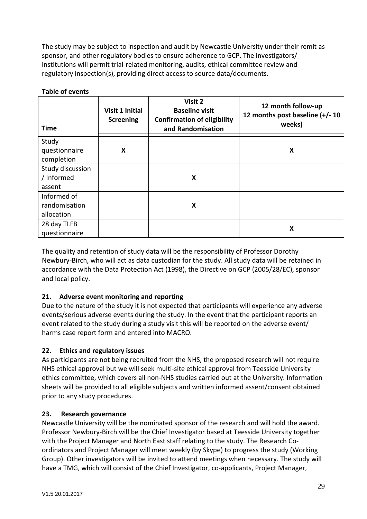The study may be subject to inspection and audit by Newcastle University under their remit as sponsor, and other regulatory bodies to ensure adherence to GCP. The investigators/ institutions will permit trial-related monitoring, audits, ethical committee review and regulatory inspection(s), providing direct access to source data/documents.

| <b>Time</b>      | <b>Visit 1 Initial</b><br><b>Screening</b> | Visit 2<br><b>Baseline visit</b><br><b>Confirmation of eligibility</b><br>and Randomisation | 12 month follow-up<br>12 months post baseline (+/-10<br>weeks) |
|------------------|--------------------------------------------|---------------------------------------------------------------------------------------------|----------------------------------------------------------------|
| Study            |                                            |                                                                                             |                                                                |
| questionnaire    | X                                          |                                                                                             | X                                                              |
| completion       |                                            |                                                                                             |                                                                |
| Study discussion |                                            |                                                                                             |                                                                |
| / Informed       |                                            | X                                                                                           |                                                                |
| assent           |                                            |                                                                                             |                                                                |
| Informed of      |                                            |                                                                                             |                                                                |
| randomisation    |                                            | X                                                                                           |                                                                |
| allocation       |                                            |                                                                                             |                                                                |
| 28 day TLFB      |                                            |                                                                                             |                                                                |
| questionnaire    |                                            |                                                                                             | X                                                              |

### **Table of events**

The quality and retention of study data will be the responsibility of Professor Dorothy Newbury-Birch, who will act as data custodian for the study. All study data will be retained in accordance with the Data Protection Act (1998), the Directive on GCP (2005/28/EC), sponsor and local policy.

# <span id="page-29-0"></span>**21. Adverse event monitoring and reporting**

Due to the nature of the study it is not expected that participants will experience any adverse events/serious adverse events during the study. In the event that the participant reports an event related to the study during a study visit this will be reported on the adverse event/ harms case report form and entered into MACRO.

# <span id="page-29-1"></span>**22. Ethics and regulatory issues**

As participants are not being recruited from the NHS, the proposed research will not require NHS ethical approval but we will seek multi-site ethical approval from Teesside University ethics committee, which covers all non-NHS studies carried out at the University. Information sheets will be provided to all eligible subjects and written informed assent/consent obtained prior to any study procedures.

### <span id="page-29-2"></span>**23. Research governance**

Newcastle University will be the nominated sponsor of the research and will hold the award. Professor Newbury-Birch will be the Chief Investigator based at Teesside University together with the Project Manager and North East staff relating to the study. The Research Coordinators and Project Manager will meet weekly (by Skype) to progress the study (Working Group). Other investigators will be invited to attend meetings when necessary. The study will have a TMG, which will consist of the Chief Investigator, co-applicants, Project Manager,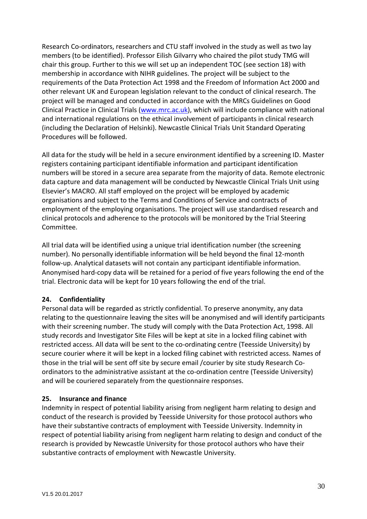Research Co-ordinators, researchers and CTU staff involved in the study as well as two lay members (to be identified). Professor Eilish Gilvarry who chaired the pilot study TMG will chair this group. Further to this we will set up an independent TOC (see section 18) with membership in accordance with NIHR guidelines. The project will be subject to the requirements of the Data Protection Act 1998 and the Freedom of Information Act 2000 and other relevant UK and European legislation relevant to the conduct of clinical research. The project will be managed and conducted in accordance with the MRCs Guidelines on Good Clinical Practice in Clinical Trials [\(www.mrc.ac.uk\)](http://www.mrc.ac.uk/), which will include compliance with national and international regulations on the ethical involvement of participants in clinical research (including the Declaration of Helsinki). Newcastle Clinical Trials Unit Standard Operating Procedures will be followed.

All data for the study will be held in a secure environment identified by a screening ID. Master registers containing participant identifiable information and participant identification numbers will be stored in a secure area separate from the majority of data. Remote electronic data capture and data management will be conducted by Newcastle Clinical Trials Unit using Elsevier's MACRO. All staff employed on the project will be employed by academic organisations and subject to the Terms and Conditions of Service and contracts of employment of the employing organisations. The project will use standardised research and clinical protocols and adherence to the protocols will be monitored by the Trial Steering Committee.

All trial data will be identified using a unique trial identification number (the screening number). No personally identifiable information will be held beyond the final 12-month follow-up. Analytical datasets will not contain any participant identifiable information. Anonymised hard-copy data will be retained for a period of five years following the end of the trial. Electronic data will be kept for 10 years following the end of the trial.

### <span id="page-30-0"></span>**24. Confidentiality**

Personal data will be regarded as strictly confidential. To preserve anonymity, any data relating to the questionnaire leaving the sites will be anonymised and will identify participants with their screening number. The study will comply with the Data Protection Act, 1998. All study records and Investigator Site Files will be kept at site in a locked filing cabinet with restricted access. All data will be sent to the co-ordinating centre (Teesside University) by secure courier where it will be kept in a locked filing cabinet with restricted access. Names of those in the trial will be sent off site by secure email /courier by site study Research Coordinators to the administrative assistant at the co-ordination centre (Teesside University) and will be couriered separately from the questionnaire responses.

### <span id="page-30-1"></span>**25. Insurance and finance**

Indemnity in respect of potential liability arising from negligent harm relating to design and conduct of the research is provided by Teesside University for those protocol authors who have their substantive contracts of employment with Teesside University. Indemnity in respect of potential liability arising from negligent harm relating to design and conduct of the research is provided by Newcastle University for those protocol authors who have their substantive contracts of employment with Newcastle University.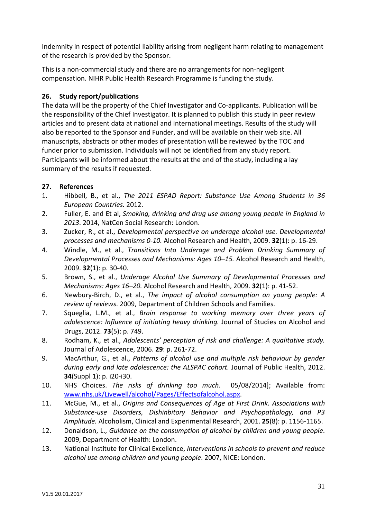Indemnity in respect of potential liability arising from negligent harm relating to management of the research is provided by the Sponsor.

This is a non-commercial study and there are no arrangements for non-negligent compensation. NIHR Public Health Research Programme is funding the study.

## <span id="page-31-0"></span>**26. Study report/publications**

The data will be the property of the Chief Investigator and Co-applicants. Publication will be the responsibility of the Chief Investigator. It is planned to publish this study in peer review articles and to present data at national and international meetings. Results of the study will also be reported to the Sponsor and Funder, and will be available on their web site. All manuscripts, abstracts or other modes of presentation will be reviewed by the TOC and funder prior to submission. Individuals will not be identified from any study report. Participants will be informed about the results at the end of the study, including a lay summary of the results if requested.

## <span id="page-31-1"></span>**27. References**

- 1. Hibbell, B., et al., *The 2011 ESPAD Report: Substance Use Among Students in 36 European Countries.* 2012.
- 2. Fuller, E. and Et al, *Smoking, drinking and drug use among young people in England in 2013*. 2014, NatCen Social Research: London.
- 3. Zucker, R., et al., *Developmental perspective on underage alcohol use. Developmental processes and mechanisms 0-10.* Alcohol Research and Health, 2009. **32**(1): p. 16-29.
- 4. Windle, M., et al., *Transitions Into Underage and Problem Drinking Summary of Developmental Processes and Mechanisms: Ages 10–15.* Alcohol Research and Health, 2009. **32**(1): p. 30-40.
- 5. Brown, S., et al., *Underage Alcohol Use Summary of Developmental Processes and Mechanisms: Ages 16–20.* Alcohol Research and Health, 2009. **32**(1): p. 41-52.
- 6. Newbury-Birch, D., et al., *The impact of alcohol consumption on young people: A review of reviews*. 2009, Department of Children Schools and Families.
- 7. Squeglia, L.M., et al., *Brain response to working memory over three years of adolescence: Influence of initiating heavy drinking.* Journal of Studies on Alcohol and Drugs, 2012. **73**(5): p. 749.
- 8. Rodham, K., et al., *Adolescents' perception of risk and challenge: A qualitative study.* Journal of Adolescence, 2006. **29**: p. 261-72.
- 9. MacArthur, G., et al., *Patterns of alcohol use and multiple risk behaviour by gender during early and late adolescence: the ALSPAC cohort.* Journal of Public Health, 2012. **34**(Suppl 1): p. i20-i30.
- 10. NHS Choices. *The risks of drinking too much*. 05/08/2014]; Available from: [www.nhs.uk/Livewell/alcohol/Pages/Effectsofalcohol.aspx.](http://www.nhs.uk/Livewell/alcohol/Pages/Effectsofalcohol.aspx)
- 11. McGue, M., et al., *Origins and Consequences of Age at First Drink. Associations with Substance-use Disorders, Dishinbitory Behavior and Psychopathology, and P3 Amplitude.* Alcoholism, Clinical and Experimental Research, 2001. **25**(8): p. 1156-1165.
- 12. Donaldson, L., *Guidance on the consumption of alcohol by children and young people*. 2009, Department of Health: London.
- 13. National Institute for Clinical Excellence, *Interventions in schools to prevent and reduce alcohol use among children and young people*. 2007, NICE: London.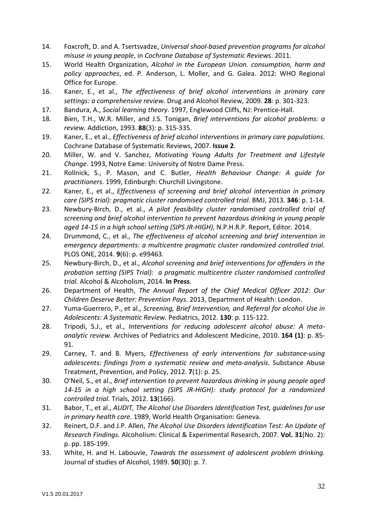- 14. Foxcroft, D. and A. Tsertsvadze, *Universal shool-based prevention programs for alcohol misuse in young people*, in *Cochrane Database of Systematic Reviews*. 2011.
- 15. World Health Organization, *Alcohol in the European Union. consumption, harm and policy approaches*, ed. P. Anderson, L. Moller, and G. Galea. 2012: WHO Regional Office for Europe.
- 16. Kaner, E., et al., *The effectiveness of brief alcohol interventions in primary care settings: a comprehensive review.* Drug and Alcohol Review, 2009. **28**: p. 301-323.
- 17. Bandura, A., *Social learning theory*. 1997, Englewood Cliffs, NJ: Prentice-Hall.
- 18. Bien, T.H., W.R. Miller, and J.S. Tonigan, *Brief interventions for alcohol problems: a review.* Addiction, 1993. **88**(3): p. 315-335.
- 19. Kaner, E., et al., *Effectiveness of brief alcohol interventions in primary care populations.* Cochrane Database of Systematic Reviews, 2007. **Issue 2**.
- 20. Miller, W. and V. Sanchez, *Motivating Young Adults for Treatment and Lifestyle Change*. 1993, Notre Eame: University of Notre Dame Press.
- 21. Rollnick, S., P. Mason, and C. Butler, *Health Behaviour Change: A guide for practitioners*. 1999, Edinburgh: Churchill Livingstone.
- 22. Kaner, E., et al., *Effectiveness of screening and brief alcohol intervention in primary care (SIPS trial): pragmatic cluster randomised controlled trial.* BMJ, 2013. **346**: p. 1-14.
- 23. Newbury-Birch, D., et al., *A pilot feasibility cluster randomised controlled trial of screening and brief alcohol intervention to prevent hazardous drinking in young people aged 14-15 in a high school setting (SIPS JR-HIGH)*, N.P.H.R.P. Report, Editor. 2014.
- 24. Drummond, C., et al., *The effectiveness of alcohol screening and brief intervention in emergency departments: a multicentre pragmatic cluster randomized controlled trial.* PLOS ONE, 2014. **9**(6): p. e99463.
- 25. Newbury-Birch, D., et al., *Alcohol screening and brief interventions for offenders in the probation setting (SIPS Trial): a pragmatic multicentre cluster randomised controlled trial.* Alcohol & Alcoholism, 2014. **In Press**.
- 26. Department of Health, *The Annual Report of the Chief Medical Officer 2012: Our Children Deserve Better: Prevention Pays*. 2013, Department of Health: London.
- 27. Yuma-Guerrero, P., et al., *Screening, Brief Intervention, and Referral for alcohol Use in Adolescents: A Systematic Review.* Pediatrics, 2012. **130**: p. 115-122.
- 28. Tripodi, S.J., et al., *Interventions for reducing adolescent alcohol abuse: A metaanalytic review.* Archives of Pediatrics and Adolescent Medicine, 2010. **164 (1)**: p. 85- 91.
- 29. Carney, T. and B. Myers, *Effectiveness of early interventions for substance-using adolescents: findings from a systematic review and meta-analysis.* Substance Abuse Treatment, Prevention, and Policy, 2012. **7**(1): p. 25.
- 30. O'Neil, S., et al., *Brief intervention to prevent hazardous drinking in young people aged 14-15 in a high school setting (SIPS JR-HIGH): study protocol for a randomized controlled trial.* Trials, 2012. **13**(166).
- 31. Babor, T., et al., *AUDIT, The Alcohol Use Disorders Identification Test, guidelines for use in primary health care*. 1989, World Health Organisation: Geneva.
- 32. Reinert, D.F. and J.P. Allen, *The Alcohol Use Disorders Identification Test: An Update of Research Findings.* Alcoholism: Clinical & Experimental Research, 2007. **Vol. 31**(No. 2): p. pp. 185-199.
- 33. White, H. and H. Labouvie, *Towards the assessment of adolescent problem drinking.* Journal of studies of Alcohol, 1989. **50**(30): p. 7.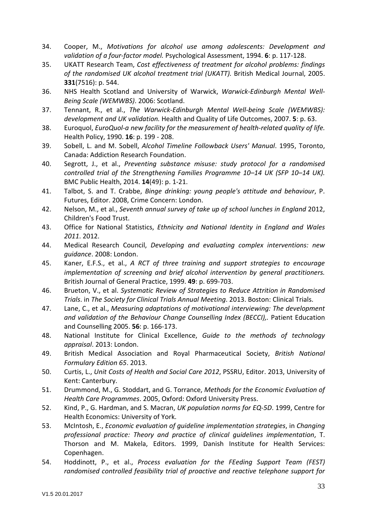- 34. Cooper, M., *Motivations for alcohol use among adolescents: Development and validation of a four-factor model.* Psychological Assessment, 1994. **6**: p. 117-128.
- 35. UKATT Research Team, *Cost effectiveness of treatment for alcohol problems: findings of the randomised UK alcohol treatment trial (UKATT).* British Medical Journal, 2005. **331**(7516): p. 544.
- 36. NHS Health Scotland and University of Warwick, *Warwick-Edinburgh Mental Well-Being Scale (WEMWBS)*. 2006: Scotland.
- 37. Tennant, R., et al., *The Warwick-Edinburgh Mental Well-being Scale (WEMWBS): development and UK validation.* Health and Quality of Life Outcomes, 2007. **5**: p. 63.
- 38. Euroquol, *EuroQuol-a new facility for the measurement of health-related quality of life.* Health Policy, 1990. **16**: p. 199 - 208.
- 39. Sobell, L. and M. Sobell, *Alcohol Timeline Followback Users' Manual*. 1995, Toronto, Canada: Addiction Research Foundation.
- 40. Segrott, J., et al., *Preventing substance misuse: study protocol for a randomised controlled trial of the Strengthening Families Programme 10–14 UK (SFP 10–14 UK).* BMC Public Health, 2014. **14**(49): p. 1-21.
- 41. Talbot, S. and T. Crabbe, *Binge drinking: young people's attitude and behaviour*, P. Futures, Editor. 2008, Crime Concern: London.
- 42. Nelson, M., et al., *Seventh annual survey of take up of school lunches in England* 2012, Children's Food Trust.
- 43. Office for National Statistics, *Ethnicity and National Identity in England and Wales 2011*. 2012.
- 44. Medical Research Council, *Developing and evaluating complex interventions: new guidance*. 2008: London.
- 45. Kaner, E.F.S., et al., *A RCT of three training and support strategies to encourage implementation of screening and brief alcohol intervention by general practitioners.* British Journal of General Practice, 1999. **49**: p. 699-703.
- 46. Brueton, V., et al. *Systematic Review of Strategies to Reduce Attrition in Randomised Trials*. in *The Society for Clinical Trials Annual Meeting*. 2013. Boston: Clinical Trials.
- 47. Lane, C., et al., *Measuring adaptations of motivational interviewing: The development and validation of the Behaviour Change Counselling Index (BECCI),.* Patient Education and Counselling 2005. **56**: p. 166-173.
- 48. National Institute for Clinical Excellence, *Guide to the methods of technology appraisal*. 2013: London.
- 49. British Medical Association and Royal Pharmaceutical Society, *British National Formulary Edition 65*. 2013.
- 50. Curtis, L., *Unit Costs of Health and Social Care 2012*, PSSRU, Editor. 2013, University of Kent: Canterbury.
- 51. Drummond, M., G. Stoddart, and G. Torrance, *Methods for the Economic Evaluation of Health Care Programmes*. 2005, Oxford: Oxford University Press.
- 52. Kind, P., G. Hardman, and S. Macran, *UK population norms for EQ-5D*. 1999, Centre for Health Economics: University of York.
- 53. McIntosh, E., *Economic evaluation of guideline implementation strategies*, in *Changing professional practice: Theory and practice of clinical guidelines implementation*, T. Thorson and M. Makela, Editors. 1999, Danish Institute for Health Services: Copenhagen.
- 54. Hoddinott, P., et al., *Process evaluation for the FEeding Support Team (FEST) randomised controlled feasibility trial of proactive and reactive telephone support for*